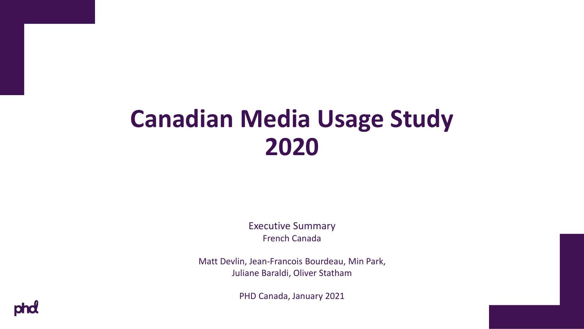# **Canadian Media Usage Study 2020**

Executive Summary French Canada

Matt Devlin, Jean-Francois Bourdeau, Min Park, Juliane Baraldi, Oliver Statham

PHD Canada, January 2021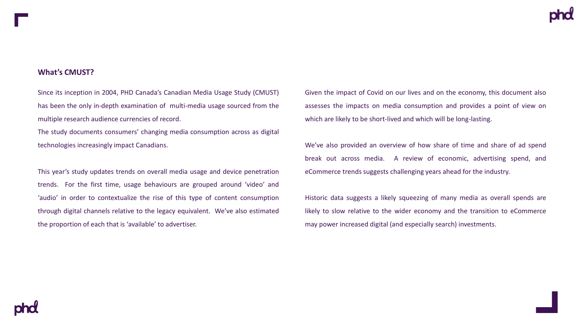### **What's CMUST?**

Since its inception in 2004, PHD Canada's Canadian Media Usage Study (CMUST) has been the only in-depth examination of multi-media usage sourced from the multiple research audience currencies of record.

The study documents consumers' changing media consumption across as digital technologies increasingly impact Canadians.

This year's study updates trends on overall media usage and device penetration trends. For the first time, usage behaviours are grouped around 'video' and 'audio' in order to contextualize the rise of this type of content consumption through digital channels relative to the legacy equivalent. We've also estimated the proportion of each that is 'available' to advertiser.

Given the impact of Covid on our lives and on the economy, this document also assesses the impacts on media consumption and provides a point of view on which are likely to be short-lived and which will be long-lasting.

We've also provided an overview of how share of time and share of ad spend break out across media. A review of economic, advertising spend, and eCommerce trends suggests challenging years ahead for the industry.

Historic data suggests a likely squeezing of many media as overall spends are likely to slow relative to the wider economy and the transition to eCommerce may power increased digital (and especially search) investments.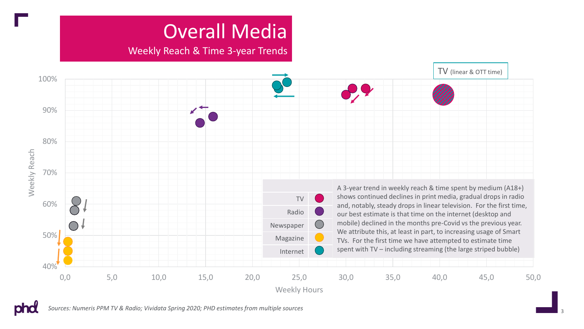## Overall Media

### Weekly Reach & Time 3-year Trends



*Sources: Numeris PPM TV & Radio; Vividata Spring 2020; PHD estimates from multiple sources*

pho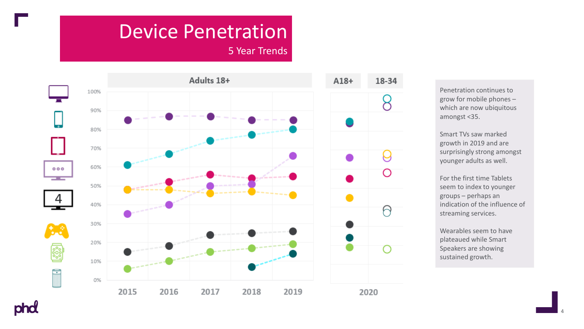### Device Penetration

5 Year Trends



Penetration continues to grow for mobile phones – which are now ubiquitous amongst <35.

Smart TVs saw marked growth in 2019 and are surprisingly strong amongst younger adults as well.

For the first time Tablets seem to index to younger groups – perhaps an indication of the influence of streaming services.

Wearables seem to have plateaued while Smart Speakers are showing sustained growth.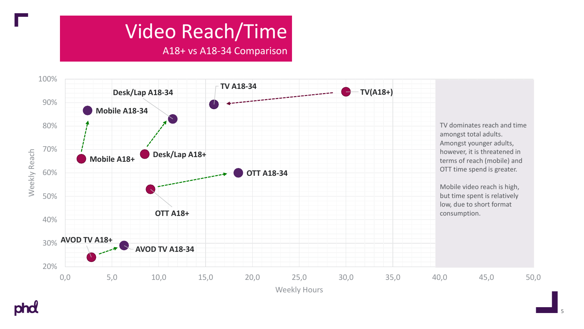## Video Reach/Time

A18+ vs A18-34 Comparison



pho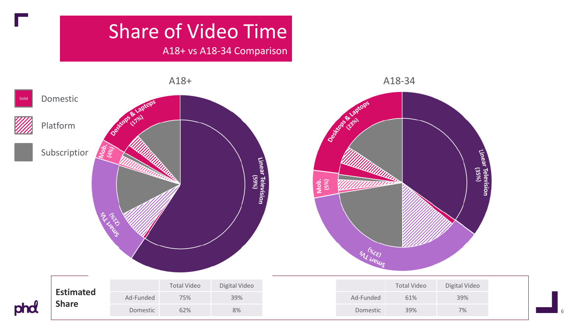### Share of Video Time

A18+ vs A18-34 Comparison



**Share** phd

| d |           | <b>Total Video</b> | Digital V |
|---|-----------|--------------------|-----------|
|   | Ad-Funded | 75%                | 39%       |
|   | Domestic  | 62%                | 8%        |
|   |           |                    |           |

|           | <b>Total Video</b> | Digital Video |
|-----------|--------------------|---------------|
| Ad-Funded | 61%                | 39%           |
| Domestic  | 39%                | 7%            |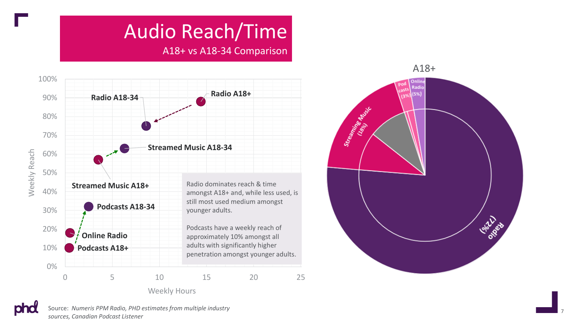## Audio Reach/Time

A18+ vs A18 -34 Comparison





Source: *Numeris PPM Radio, PHD estimates from multiple industry sources, Canadian Podcast Listener*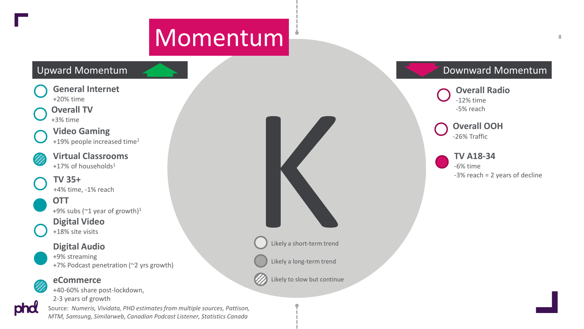# Momentum 8 and 8 and 8 and 8 and 8 and 8 and 8 and 8 and 8 and 8 and 8 and 8 and 8 and 8 and 8 and 8 and 8 and 8 and 8 and 8 and 8 and 8 and 8 and 8 and 8 and 8 and 8 and 8 and 8 and 8 and 8 and 8 and 8 and 8 and 8 and 8 a

**General Internet** +20% time

### **Overall TV**

+3% time

phd

+19% people increased time<sup>1</sup>

**Virtual Classrooms** +17% of households<sup>1</sup>

+4% time, -1% reach

**OTT** +9% subs ( $\degree$ 1 year of growth)<sup>1</sup>

**Digital Video** +18% site visits

**Digital Audio** +9% streaming +7% Podcast penetration (~2 yrs growth)

**eCommerce**

+40-60% share post-lockdown,

2-3 years of growth

Source: *Numeris, Vividata, PHD estimates from multiple sources, Pattison, MTM, Samsung, Similarweb, Canadian Podcast Listener, Statistics Canada*



Likely a short-term trend

Likely a long-term trend

Likely to slow but continue

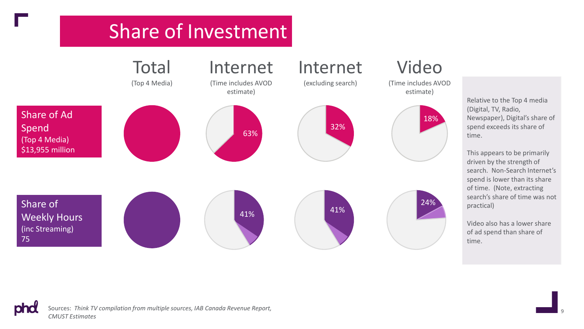### Share of Investment



Relative to the Top 4 media (Digital, TV, Radio, Newspaper), Digital's share of spend exceeds its share of

This appears to be primarily driven by the strength of search. Non-Search Internet's spend is lower than its share of time. (Note, extracting search's share of time was not practical)

Video also has a lower share of ad spend than share of

phd Sources: *Think TV compilation from multiple sources, IAB Canada Revenue Report, CMUST Estimates*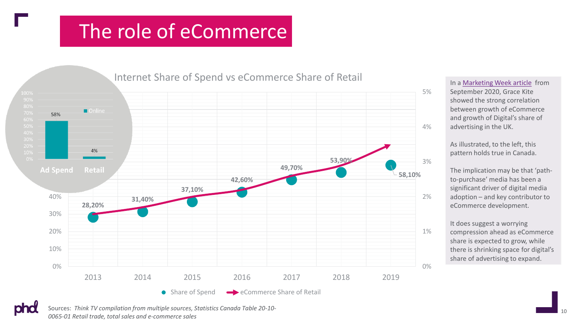### The role of eCommerce



In a [Marketing Week article](https://www.marketingweek.com/marketers-misunderstand-two-tasks-online-advertising/) from September 2020, Grace Kite showed the strong correlation between growth of eCommerce and growth of Digital's share of advertising in the UK.

As illustrated, to the left, this pattern holds true in Canada.

The implication may be that 'pathto-purchase' media has been a significant driver of digital media adoption – and key contributor to eCommerce development.

It does suggest a worrying compression ahead as eCommerce share is expected to grow, while there is shrinking space for digital's share of advertising to expand.

<sup>10</sup> Sources: *Think TV compilation from multiple sources, Statistics Canada Table 20-10- 0065-01 Retail trade, total sales and e-commerce sales*

pho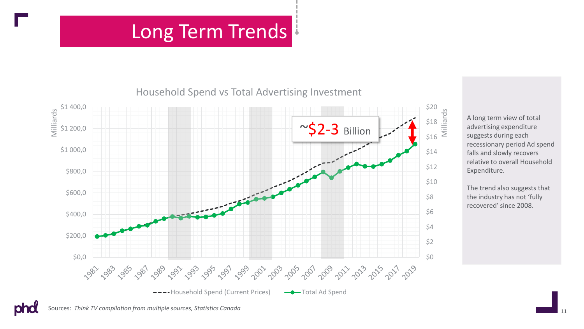### Long Term Trends

### Household Spend vs Total Advertising Investment



A long term view of total advertising expenditure suggests during each recessionary period Ad spend falls and slowly recovers relative to overall Household Expenditure.

The trend also suggests that the industry has not 'fully recovered' since 2008.